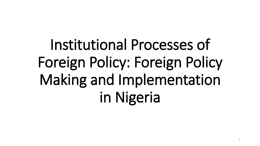Institutional Processes of Foreign Policy: Foreign Policy Making and Implementation in Nigeria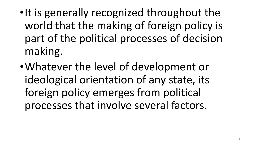- •It is generally recognized throughout the world that the making of foreign policy is part of the political processes of decision making.
- •Whatever the level of development or ideological orientation of any state, its foreign policy emerges from political processes that involve several factors.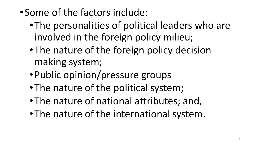•Some of the factors include:

- •The personalities of political leaders who are involved in the foreign policy milieu;
- •The nature of the foreign policy decision making system;
- •Public opinion/pressure groups
- •The nature of the political system;
- •The nature of national attributes; and,
- •The nature of the international system.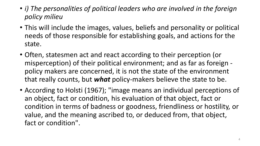- *i) The personalities of political leaders who are involved in the foreign policy milieu*
- This will include the images, values, beliefs and personality or political needs of those responsible for establishing goals, and actions for the state.
- Often, statesmen act and react according to their perception (or misperception) of their political environment; and as far as foreign policy makers are concerned, it is not the state of the environment that really counts, but *what* policy-makers believe the state to be.
- According to Holsti (1967); "image means an individual perceptions of an object, fact or condition, his evaluation of that object, fact or condition in terms of badness or goodness, friendliness or hostility, or value, and the meaning ascribed to, or deduced from, that object, fact or condition".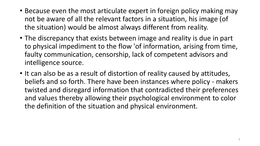- Because even the most articulate expert in foreign policy making may not be aware of all the relevant factors in a situation, his image (of the situation) would be almost always different from reality.
- The discrepancy that exists between image and reality is due in part to physical impediment to the flow 'of information, arising from time, faulty communication, censorship, lack of competent advisors and intelligence source.
- It can also be as a result of distortion of reality caused by attitudes, beliefs and so forth. There have been instances where policy - makers twisted and disregard information that contradicted their preferences and values thereby allowing their psychological environment to color the definition of the situation and physical environment.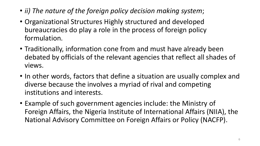- *ii) The nature of the foreign policy decision making system*;
- Organizational Structures Highly structured and developed bureaucracies do play a role in the process of foreign policy formulation.
- Traditionally, information cone from and must have already been debated by officials of the relevant agencies that reflect all shades of views.
- In other words, factors that define a situation are usually complex and diverse because the involves a myriad of rival and competing institutions and interests.
- Example of such government agencies include: the Ministry of Foreign Affairs, the Nigeria Institute of International Affairs (NIIA), the National Advisory Committee on Foreign Affairs or Policy (NACFP).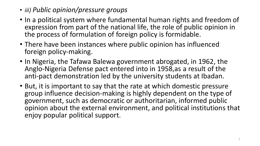- *iii) Public opinion/pressure groups*
- In a political system where fundamental human rights and freedom of expression from part of the national life, the role of public opinion in the process of formulation of foreign policy is formidable.
- There have been instances where public opinion has influenced foreign policy-making.
- In Nigeria, the Tafawa Balewa government abrogated, in 1962, the Anglo-Nigeria Defense pact entered into in 1958,as a result of the anti-pact demonstration led by the university students at Ibadan.
- But, it is important to say that the rate at which domestic pressure group influence decision-making is highly dependent on the type of government, such as democratic or authoritarian, informed public opinion about the external environment, and political institutions that enjoy popular political support.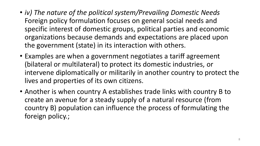- *iv) The nature of the political system/Prevailing Domestic Needs*  Foreign policy formulation focuses on general social needs and specific interest of domestic groups, political parties and economic organizations because demands and expectations are placed upon the government (state) in its interaction with others.
- Examples are when a government negotiates a tariff agreement (bilateral or multilateral) to protect its domestic industries, or intervene diplomatically or militarily in another country to protect the lives and properties of its own citizens.
- Another is when country A establishes trade links with country B to create an avenue for a steady supply of a natural resource (from country B) population can influence the process of formulating the foreign policy.;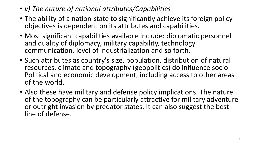- *v) The nature of national attributes/Capabilities*
- The ability of a nation-state to significantly achieve its foreign policy objectives is dependent on its attributes and capabilities.
- Most significant capabilities available include: diplomatic personnel and quality of diplomacy, military capability, technology communication, level of industrialization and so forth.
- Such attributes as country's size, population, distribution of natural resources, climate and topography (geopolitics) do influence socio-Political and economic development, including access to other areas of the world.
- Also these have military and defense policy implications. The nature of the topography can be particularly attractive for military adventure or outright invasion by predator states. It can also suggest the best line of defense.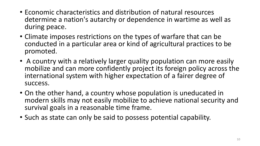- Economic characteristics and distribution of natural resources determine a nation's autarchy or dependence in wartime as well as during peace.
- Climate imposes restrictions on the types of warfare that can be conducted in a particular area or kind of agricultural practices to be promoted.
- A country with a relatively larger quality population can more easily mobilize and can more confidently project its foreign policy across the international system with higher expectation of a fairer degree of success.
- On the other hand, a country whose population is uneducated in modern skills may not easily mobilize to achieve national security and survival goals in a reasonable time frame.
- Such as state can only be said to possess potential capability.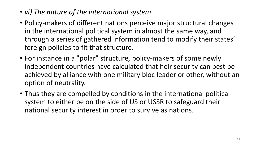- *vi) The nature of the international system*
- Policy-makers of different nations perceive major structural changes in the international political system in almost the same way, and through a series of gathered information tend to modify their states' foreign policies to fit that structure.
- For instance in a "polar" structure, policy-makers of some newly independent countries have calculated that heir security can best be achieved by alliance with one military bloc leader or other, without an option of neutrality.
- Thus they are compelled by conditions in the international political system to either be on the side of US or USSR to safeguard their national security interest in order to survive as nations.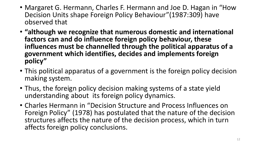- Margaret G. Hermann, Charles F. Hermann and Joe D. Hagan in "How Decision Units shape Foreign Policy Behaviour"(1987:309) have observed that
- **"although we recognize that numerous domestic and international factors can and do influence foreign policy behaviour, these influences must be channelled through the political apparatus of a government which identifies, decides and implements foreign policy"**
- This political apparatus of a government is the foreign policy decision making system.
- Thus, the foreign policy decision making systems of a state yield understanding about its foreign policy dynamics.
- Charles Hermann in "Decision Structure and Process Influences on Foreign Policy" (1978) has postulated that the nature of the decision structures affects the nature of the decision process, which in turn affects foreign policy conclusions.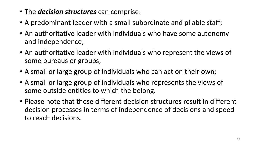- The *decision structures* can comprise:
- A predominant leader with a small subordinate and pliable staff;
- An authoritative leader with individuals who have some autonomy and independence;
- An authoritative leader with individuals who represent the views of some bureaus or groups;
- A small or large group of individuals who can act on their own;
- A small or large group of individuals who represents the views of some outside entities to which the belong.
- Please note that these different decision structures result in different decision processes in terms of independence of decisions and speed to reach decisions.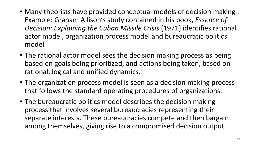- Many theorists have provided conceptual models of decision making . Example: Graham Allison's study contained in his book, *Essence of Decision: Explaining the Cuban Missile Crisis* (1971) identifies rational actor model, organization process model and bureaucratic politics model.
- The rational actor model sees the decision making process as being based on goals being prioritized, and actions being taken, based on rational, logical and unified dynamics.
- The organization process model is seen as a decision making process that follows the standard operating procedures of organizations.
- The bureaucratic politics model describes the decision making process that involves several bureaucracies representing their separate interests. These bureaucracies compete and then bargain among themselves, giving rise to a compromised decision output.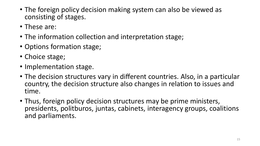- The foreign policy decision making system can also be viewed as consisting of stages.
- These are:
- The information collection and interpretation stage;
- Options formation stage;
- Choice stage;
- Implementation stage.
- The decision structures vary in different countries. Also, in a particular country, the decision structure also changes in relation to issues and time.
- Thus, foreign policy decision structures may be prime ministers, presidents, politburos, juntas, cabinets, interagency groups, coalitions and parliaments.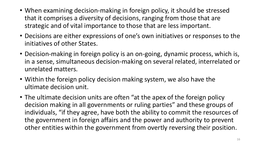- When examining decision-making in foreign policy, it should be stressed that it comprises a diversity of decisions, ranging from those that are strategic and of vital importance to those that are less important.
- Decisions are either expressions of one's own initiatives or responses to the initiatives of other States.
- Decision-making in foreign policy is an on-going, dynamic process, which is, in a sense, simultaneous decision-making on several related, interrelated or unrelated matters.
- Within the foreign policy decision making system, we also have the ultimate decision unit.
- The ultimate decision units are often "at the apex of the foreign policy decision making in all governments or ruling parties" and these groups of individuals, "if they agree, have both the ability to commit the resources of the government in foreign affairs and the power and authority to prevent other entities within the government from overtly reversing their position.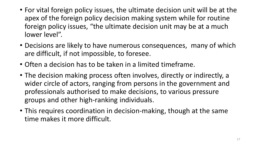- For vital foreign policy issues, the ultimate decision unit will be at the apex of the foreign policy decision making system while for routine foreign policy issues, "the ultimate decision unit may be at a much lower level".
- Decisions are likely to have numerous consequences, many of which are difficult, if not impossible, to foresee.
- Often a decision has to be taken in a limited timeframe.
- The decision making process often involves, directly or indirectly, a wider circle of actors, ranging from persons in the government and professionals authorised to make decisions, to various pressure groups and other high-ranking individuals.
- This requires coordination in decision-making, though at the same time makes it more difficult.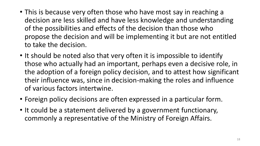- This is because very often those who have most say in reaching a decision are less skilled and have less knowledge and understanding of the possibilities and effects of the decision than those who propose the decision and will be implementing it but are not entitled to take the decision.
- It should be noted also that very often it is impossible to identify those who actually had an important, perhaps even a decisive role, in the adoption of a foreign policy decision, and to attest how significant their influence was, since in decision-making the roles and influence of various factors intertwine.
- Foreign policy decisions are often expressed in a particular form.
- It could be a statement delivered by a government functionary, commonly a representative of the Ministry of Foreign Affairs.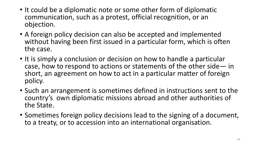- It could be a diplomatic note or some other form of diplomatic communication, such as a protest, official recognition, or an objection.
- A foreign policy decision can also be accepted and implemented without having been first issued in a particular form, which is often the case.
- It is simply a conclusion or decision on how to handle a particular case, how to respond to actions or statements of the other side— in short, an agreement on how to act in a particular matter of foreign policy.
- Such an arrangement is sometimes defined in instructions sent to the country's own diplomatic missions abroad and other authorities of the State.
- Sometimes foreign policy decisions lead to the signing of a document, to a treaty, or to accession into an international organisation.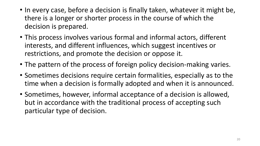- In every case, before a decision is finally taken, whatever it might be, there is a longer or shorter process in the course of which the decision is prepared.
- This process involves various formal and informal actors, different interests, and different influences, which suggest incentives or restrictions, and promote the decision or oppose it.
- The pattern of the process of foreign policy decision-making varies.
- Sometimes decisions require certain formalities, especially as to the time when a decision is formally adopted and when it is announced.
- Sometimes, however, informal acceptance of a decision is allowed, but in accordance with the traditional process of accepting such particular type of decision.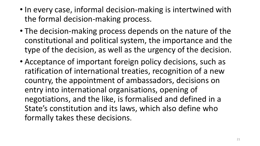- In every case, informal decision-making is intertwined with the formal decision-making process.
- The decision-making process depends on the nature of the constitutional and political system, the importance and the type of the decision, as well as the urgency of the decision.
- Acceptance of important foreign policy decisions, such as ratification of international treaties, recognition of a new country, the appointment of ambassadors, decisions on entry into international organisations, opening of negotiations, and the like, is formalised and defined in a State's constitution and its laws, which also define who formally takes these decisions.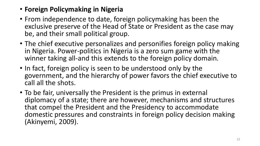- **Foreign Policymaking in Nigeria**
- From independence to date, foreign policymaking has been the exclusive preserve of the Head of State or President as the case may be, and their small political group.
- The chief executive personalizes and personifies foreign policy making in Nigeria. Power-politics in Nigeria is a zero sum game with the winner taking all-and this extends to the foreign policy domain.
- In fact, foreign policy is seen to be understood only by the government, and the hierarchy of power favors the chief executive to call all the shots.
- To be fair, universally the President is the primus in external diplomacy of a state; there are however, mechanisms and structures that compel the President and the Presidency to accommodate domestic pressures and constraints in foreign policy decision making (Akinyemi, 2009).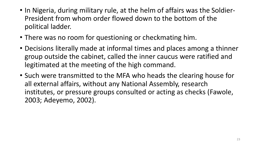- In Nigeria, during military rule, at the helm of affairs was the Soldier-President from whom order flowed down to the bottom of the political ladder.
- There was no room for questioning or checkmating him.
- Decisions literally made at informal times and places among a thinner group outside the cabinet, called the inner caucus were ratified and legitimated at the meeting of the high command.
- Such were transmitted to the MFA who heads the clearing house for all external affairs, without any National Assembly, research institutes, or pressure groups consulted or acting as checks (Fawole, 2003; Adeyemo, 2002).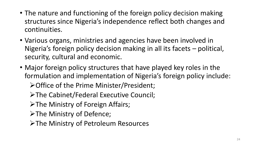- The nature and functioning of the foreign policy decision making structures since Nigeria's independence reflect both changes and continuities.
- Various organs, ministries and agencies have been involved in Nigeria's foreign policy decision making in all its facets – political, security, cultural and economic.
- Major foreign policy structures that have played key roles in the formulation and implementation of Nigeria's foreign policy include:

**≻Office of the Prime Minister/President;** 

**≻The Cabinet/Federal Executive Council;** 

>The Ministry of Foreign Affairs;

>The Ministry of Defence;

**≻The Ministry of Petroleum Resources**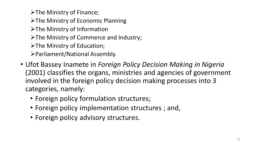$\triangleright$  The Ministry of Finance;

 $\triangleright$  The Ministry of Economic Planning

>The Ministry of Information

 $\triangleright$  The Ministry of Commerce and Industry;

 $\triangleright$  The Ministry of Education;

Parliament/National Assembly.

- Ufot Bassey Inamete in *Foreign Policy Decision Making in Nigeria*  (2001) classifies the organs, ministries and agencies of government involved in the foreign policy decision making processes into 3 categories, namely:
	- Foreign policy formulation structures;
	- Foreign policy implementation structures ; and,
	- Foreign policy advisory structures.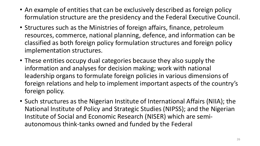- An example of entities that can be exclusively described as foreign policy formulation structure are the presidency and the Federal Executive Council.
- Structures such as the Ministries of foreign affairs, finance, petroleum resources, commerce, national planning, defence, and information can be classified as both foreign policy formulation structures and foreign policy implementation structures.
- These entities occupy dual categories because they also supply the information and analyses for decision making; work with national leadership organs to formulate foreign policies in various dimensions of foreign relations and help to implement important aspects of the country's foreign policy.
- Such structures as the Nigerian Institute of International Affairs (NIIA); the National Institute of Policy and Strategic Studies (NIPSS); and the Nigerian Institute of Social and Economic Research (NISER) which are semiautonomous think-tanks owned and funded by the Federal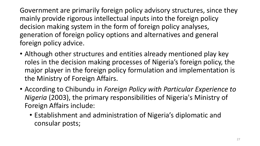Government are primarily foreign policy advisory structures, since they mainly provide rigorous intellectual inputs into the foreign policy decision making system in the form of foreign policy analyses, generation of foreign policy options and alternatives and general foreign policy advice.

- Although other structures and entities already mentioned play key roles in the decision making processes of Nigeria's foreign policy, the major player in the foreign policy formulation and implementation is the Ministry of Foreign Affairs.
- According to Chibundu in *Foreign Policy with Particular Experience to Nigeria* (2003), the primary responsibilities of Nigeria's Ministry of Foreign Affairs include:
	- Establishment and administration of Nigeria's diplomatic and consular posts;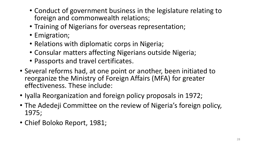- Conduct of government business in the legislature relating to foreign and commonwealth relations;
- Training of Nigerians for overseas representation;
- Emigration;
- Relations with diplomatic corps in Nigeria;
- Consular matters affecting Nigerians outside Nigeria;
- Passports and travel certificates.
- Several reforms had, at one point or another, been initiated to reorganize the Ministry of Foreign Affairs (MFA) for greater effectiveness. These include:
- Iyalla Reorganization and foreign policy proposals in 1972;
- The Adedeji Committee on the review of Nigeria's foreign policy, 1975;
- Chief Boloko Report, 1981;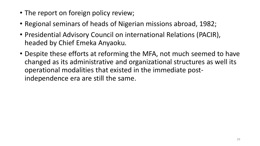- The report on foreign policy review;
- Regional seminars of heads of Nigerian missions abroad, 1982;
- Presidential Advisory Council on international Relations (PACIR), headed by Chief Emeka Anyaoku.
- Despite these efforts at reforming the MFA, not much seemed to have changed as its administrative and organizational structures as well its operational modalities that existed in the immediate postindependence era are still the same.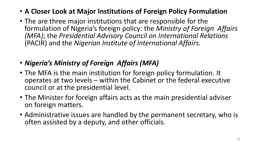- **A Closer Look at Major Institutions of Foreign Policy Formulation**
- The are three major institutions that are responsible for the formulation of Nigeria's foreign policy: the *Ministry of Foreign Affairs (MFA)*; the *Presidential Advisory Council on International Relations*  (PACIR) and the *Nigerian Institute of International Affairs.*
- *Nigeria's Ministry of Foreign Affairs (MFA)*
- The MFA is the main institution for foreign policy formulation. It operates at two levels – within the Cabinet or the federal executive council or at the presidential level.
- The Minister for foreign affairs acts as the main presidential adviser on foreign matters.
- Administrative issues are handled by the permanent secretary, who is often assisted by a deputy, and other officials.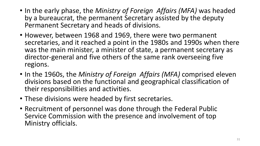- In the early phase, the *Ministry of Foreign Affairs (MFA)* was headed by a bureaucrat, the permanent Secretary assisted by the deputy Permanent Secretary and heads of divisions*.*
- However, between 1968 and 1969, there were two permanent secretaries, and it reached a point in the 1980s and 1990s when there was the main minister, a minister of state, a permanent secretary as director-general and five others of the same rank overseeing five regions.
- In the 1960s, the *Ministry of Foreign Affairs (MFA)* comprised eleven divisions based on the functional and geographical classification of their responsibilities and activities.
- These divisions were headed by first secretaries.
- Recruitment of personnel was done through the Federal Public Service Commission with the presence and involvement of top Ministry officials.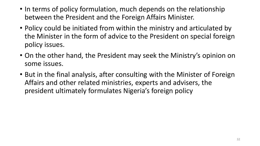- In terms of policy formulation, much depends on the relationship between the President and the Foreign Affairs Minister.
- Policy could be initiated from within the ministry and articulated by the Minister in the form of advice to the President on special foreign policy issues.
- On the other hand, the President may seek the Ministry's opinion on some issues.
- But in the final analysis, after consulting with the Minister of Foreign Affairs and other related ministries, experts and advisers, the president ultimately formulates Nigeria's foreign policy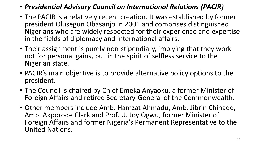- *Presidential Advisory Council on International Relations (PACIR)*
- The PACIR is a relatively recent creation. It was established by former president Olusegun Obasanjo in 2001 and comprises distinguished Nigerians who are widely respected for their experience and expertise in the fields of diplomacy and international affairs.
- Their assignment is purely non-stipendiary, implying that they work not for personal gains, but in the spirit of selfless service to the Nigerian state.
- PACIR's main objective is to provide alternative policy options to the president.
- The Council is chaired by Chief Emeka Anyaoku, a former Minister of Foreign Affairs and retired Secretary-General of the Commonwealth.
- Other members include Amb. Hamzat Ahmadu, Amb. Jibrin Chinade, Amb. Akporode Clark and Prof. U. Joy Ogwu, former Minister of Foreign Affairs and former Nigeria's Permanent Representative to the United Nations.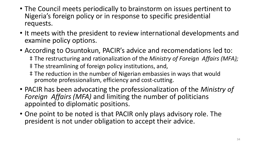- The Council meets periodically to brainstorm on issues pertinent to Nigeria's foreign policy or in response to specific presidential requests.
- It meets with the president to review international developments and examine policy options.
- According to Osuntokun, PACIR's advice and recomendations led to: ‡ The restructuring and rationalization of the *Ministry of Foreign Affairs (MFA);* ‡ The streamlining of foreign policy institutions, and, ‡ The reduction in the number of Nigerian embassies in ways that would promote professionalism, efficiency and cost-cutting.
- PACIR has been advocating the professionalization of the *Ministry of Foreign Affairs (MFA)* and limiting the number of politicians appointed to diplomatic positions.
- One point to be noted is that PACIR only plays advisory role. The president is not under obligation to accept their advice.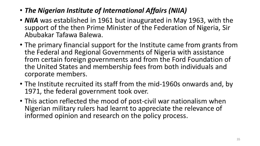- *The Nigerian Institute of International Affairs (NIIA)*
- *NIIA* was established in 1961 but inaugurated in May 1963, with the support of the then Prime Minister of the Federation of Nigeria, Sir Abubakar Tafawa Balewa.
- The primary financial support for the Institute came from grants from the Federal and Regional Governments of Nigeria with assistance from certain foreign governments and from the Ford Foundation of the United States and membership fees from both individuals and corporate members.
- The Institute recruited its staff from the mid-1960s onwards and, by 1971, the federal government took over.
- This action reflected the mood of post-civil war nationalism when Nigerian military rulers had learnt to appreciate the relevance of informed opinion and research on the policy process.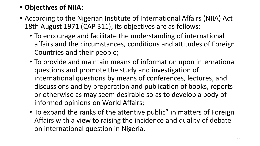## • **Objectives of NIIA:**

- According to the Nigerian Institute of International Affairs (NIIA) Act 18th August 1971 (CAP 311), its objectives are as follows:
	- To encourage and facilitate the understanding of international affairs and the circumstances, conditions and attitudes of Foreign Countries and their people;
	- To provide and maintain means of information upon international questions and promote the study and investigation of international questions by means of conferences, lectures, and discussions and by preparation and publication of books, reports or otherwise as may seem desirable so as to develop a body of informed opinions on World Affairs;
	- To expand the ranks of the attentive public" in matters of Foreign Affairs with a view to raising the incidence and quality of debate on international question in Nigeria.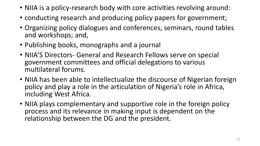- NIIA is a policy-research body with core activities revolving around:
- conducting research and producing policy papers for government;
- Organizing policy dialogues and conferences, seminars, round tables and workshops; and,
- Publishing books, monographs and a journal
- NIIA'S Directors- General and Research Fellows serve on special government committees and official delegations to various multilateral forums.
- NIIA has been able to intellectualize the discourse of Nigerian foreign policy and play a role in the articulation of Nigeria's role in Africa, including West Africa.
- NIIA plays complementary and supportive role in the foreign policy process and its relevance in making input is dependent on the relationship between the DG and the president.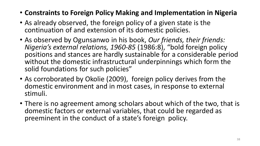- **Constraints to Foreign Policy Making and Implementation in Nigeria**
- As already observed, the foreign policy of a given state is the continuation of and extension of its domestic policies.
- As observed by Ogunsanwo in his book, *Our friends, their friends: Nigeria's external relations, 1960-85* (1986:8), "bold foreign policy positions and stances are hardly sustainable for a considerable period without the domestic infrastructural underpinnings which form the solid foundations for such policies"
- As corroborated by Okolie (2009), foreign policy derives from the domestic environment and in most cases, in response to external stimuli.
- There is no agreement among scholars about which of the two, that is domestic factors or external variables, that could be regarded as preeminent in the conduct of a state's foreign policy.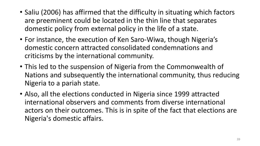- Saliu (2006) has affirmed that the difficulty in situating which factors are preeminent could be located in the thin line that separates domestic policy from external policy in the life of a state.
- For instance, the execution of Ken Saro-Wiwa, though Nigeria's domestic concern attracted consolidated condemnations and criticisms by the international community.
- This led to the suspension of Nigeria from the Commonwealth of Nations and subsequently the international community, thus reducing Nigeria to a pariah state.
- Also, all the elections conducted in Nigeria since 1999 attracted international observers and comments from diverse international actors on their outcomes. This is in spite of the fact that elections are Nigeria's domestic affairs.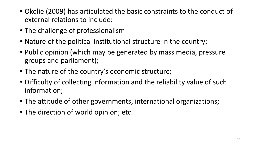- Okolie (2009) has articulated the basic constraints to the conduct of external relations to include:
- The challenge of professionalism
- Nature of the political institutional structure in the country;
- Public opinion (which may be generated by mass media, pressure groups and parliament);
- The nature of the country's economic structure;
- Difficulty of collecting information and the reliability value of such information;
- The attitude of other governments, international organizations;
- The direction of world opinion; etc.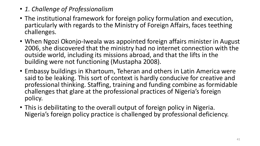- *1. Challenge of Professionalism*
- The institutional framework for foreign policy formulation and execution, particularly with regards to the Ministry of Foreign Affairs, faces teething challenges.
- When Ngozi Okonjo-Iweala was appointed foreign affairs minister in August 2006, she discovered that the ministry had no internet connection with the outside world, including its missions abroad, and that the lifts in the building were not functioning (Mustapha 2008).
- Embassy buildings in Khartoum, Teheran and others in Latin America were said to be leaking. This sort of context is hardly conducive for creative and professional thinking. Staffing, training and funding combine as formidable challenges that glare at the professional practices of Nigeria's foreign policy.
- This is debilitating to the overall output of foreign policy in Nigeria. Nigeria's foreign policy practice is challenged by professional deficiency.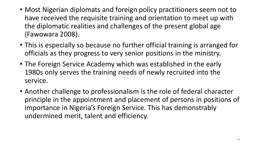- Most Nigerian diplomats and foreign policy practitioners seem not to have received the requisite training and orientation to meet up with the diplomatic realities and challenges of the present global age (Fawowara 2008).
- This is especially so because no further official training is arranged for officials as they progress to very senior positions in the ministry.
- The Foreign Service Academy which was established in the early 1980s only serves the training needs of newly recruited into the service.
- Another challenge to professionalism is the role of federal character principle in the appointment and placement of persons in positions of importance in Nigeria's Foreign Service. This has demonstrably undermined merit, talent and efficiency.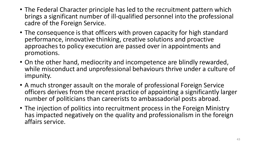- The Federal Character principle has led to the recruitment pattern which brings a significant number of ill-qualified personnel into the professional cadre of the Foreign Service.
- The consequence is that officers with proven capacity for high standard performance, innovative thinking, creative solutions and proactive approaches to policy execution are passed over in appointments and promotions.
- On the other hand, mediocrity and incompetence are blindly rewarded, while misconduct and unprofessional behaviours thrive under a culture of impunity.
- A much stronger assault on the morale of professional Foreign Service officers derives from the recent practice of appointing a significantly larger number of politicians than careerists to ambassadorial posts abroad.
- The injection of politics into recruitment process in the Foreign Ministry has impacted negatively on the quality and professionalism in the foreign affairs service.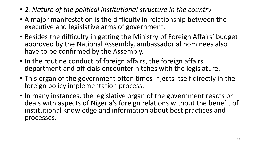- *2. Nature of the political institutional structure in the country*
- A major manifestation is the difficulty in relationship between the executive and legislative arms of government.
- Besides the difficulty in getting the Ministry of Foreign Affairs' budget approved by the National Assembly, ambassadorial nominees also have to be confirmed by the Assembly.
- In the routine conduct of foreign affairs, the foreign affairs department and officials encounter hitches with the legislature.
- This organ of the government often times injects itself directly in the foreign policy implementation process.
- In many instances, the legislative organ of the government reacts or deals with aspects of Nigeria's foreign relations without the benefit of institutional knowledge and information about best practices and processes.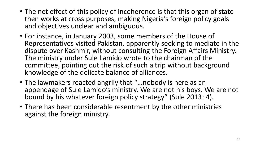- The net effect of this policy of incoherence is that this organ of state then works at cross purposes, making Nigeria's foreign policy goals and objectives unclear and ambiguous.
- For instance, in January 2003, some members of the House of Representatives visited Pakistan, apparently seeking to mediate in the dispute over Kashmir, without consulting the Foreign Affairs Ministry. The ministry under Sule Lamido wrote to the chairman of the committee, pointing out the risk of such a trip without background knowledge of the delicate balance of alliances.
- The lawmakers reacted angrily that "…nobody is here as an appendage of Sule Lamido's ministry. We are not his boys. We are not bound by his whatever foreign policy strategy" (Sule 2013: 4).
- There has been considerable resentment by the other ministries against the foreign ministry.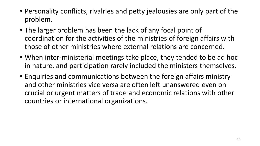- Personality conflicts, rivalries and petty jealousies are only part of the problem.
- The larger problem has been the lack of any focal point of coordination for the activities of the ministries of foreign affairs with those of other ministries where external relations are concerned.
- When inter-ministerial meetings take place, they tended to be ad hoc in nature, and participation rarely included the ministers themselves.
- Enquiries and communications between the foreign affairs ministry and other ministries vice versa are often left unanswered even on crucial or urgent matters of trade and economic relations with other countries or international organizations.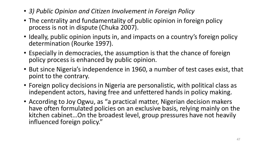- *3) Public Opinion and Citizen Involvement in Foreign Policy*
- The centrality and fundamentality of public opinion in foreign policy process is not in dispute (Chuka 2007).
- Ideally, public opinion inputs in, and impacts on a country's foreign policy determination (Rourke 1997).
- Especially in democracies, the assumption is that the chance of foreign policy process is enhanced by public opinion.
- But since Nigeria's independence in 1960, a number of test cases exist, that point to the contrary.
- Foreign policy decisions in Nigeria are personalistic, with political class as independent actors, having free and unfettered hands in policy making.
- According to Joy Ogwu, as "a practical matter, Nigerian decision makers have often formulated policies on an exclusive basis, relying mainly on the kitchen cabinet…On the broadest level, group pressures have not heavily influenced foreign policy."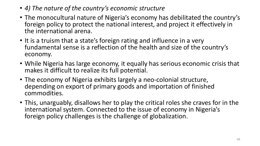- *4) The nature of the country's economic structure*
- The monocultural nature of Nigeria's economy has debilitated the country's foreign policy to protect the national interest, and project it effectively in the international arena.
- It is a truism that a state's foreign rating and influence in a very fundamental sense is a reflection of the health and size of the country's economy.
- While Nigeria has large economy, it equally has serious economic crisis that makes it difficult to realize its full potential.
- The economy of Nigeria exhibits largely a neo-colonial structure, depending on export of primary goods and importation of finished commodities.
- This, unarguably, disallows her to play the critical roles she craves for in the international system. Connected to the issue of economy in Nigeria's foreign policy challenges is the challenge of globalization.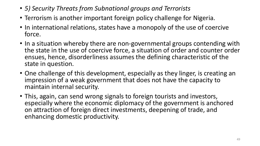- *5) Security Threats from Subnational groups and Terrorists*
- Terrorism is another important foreign policy challenge for Nigeria.
- In international relations, states have a monopoly of the use of coercive force.
- In a situation whereby there are non-governmental groups contending with the state in the use of coercive force, a situation of order and counter order ensues, hence, disorderliness assumes the defining characteristic of the state in question.
- One challenge of this development, especially as they linger, is creating an impression of a weak government that does not have the capacity to maintain internal security.
- This, again, can send wrong signals to foreign tourists and investors, especially where the economic diplomacy of the government is anchored on attraction of foreign direct investments, deepening of trade, and enhancing domestic productivity.